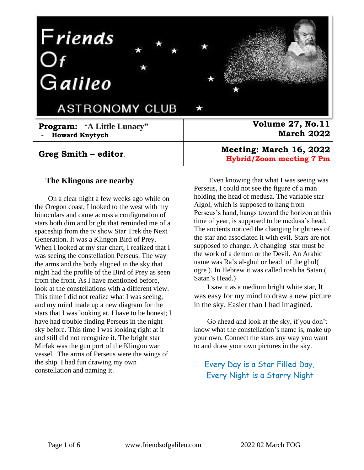

### **Greg Smith – editor**.

### **The Klingons are nearby**

On a clear night a few weeks ago while on the Oregon coast, I looked to the west with my binoculars and came across a configuration of stars both dim and bright that reminded me of a spaceship from the tv show Star Trek the Next Generation. It was a Klingon Bird of Prey. When I looked at my star chart, I realized that I was seeing the constellation Perseus. The way the arms and the body aligned in the sky that night had the profile of the Bird of Prey as seen from the front. As I have mentioned before, look at the constellations with a different view. This time I did not realize what I was seeing, and my mind made up a new diagram for the stars that I was looking at. I have to be honest; I have had trouble finding Perseus in the night sky before. This time I was looking right at it and still did not recognize it. The bright star Mirfak was the gun port of the Klingon war vessel. The arms of Perseus were the wings of the ship. I had fun drawing my own constellation and naming it.

**Meeting: March 16, 2022 Hybrid/Zoom meeting 7 Pm** 

Even knowing that what I was seeing was Perseus, I could not see the figure of a man holding the head of medusa. The variable star Algol, which is supposed to hang from Perseus's hand, hangs toward the horizon at this time of year, is supposed to be medusa's head. The ancients noticed the changing brightness of the star and associated it with evil. Stars are not supposed to change. A changing star must be the work of a demon or the Devil. An Arabic name was Ra's al-ghul or head of the ghul( ogre ). In Hebrew it was called rosh ha Satan ( Satan's Head.)

I saw it as a medium bright white star, It was easy for my mind to draw a new picture in the sky. Easier than I had imagined.

Go ahead and look at the sky, if you don't know what the constellation's name is, make up your own. Connect the stars any way you want to and draw your own pictures in the sky.

## Every Day is a Star Filled Day, Every Night is a Starry Night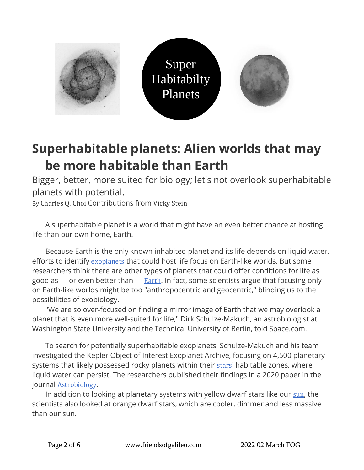

# **Superhabitable planets: Alien worlds that may be more habitable than Earth**

Bigger, better, more suited for biology; let's not overlook superhabitable planets with potential.

By Charles Q. Choi Contributions from Vicky Stein

A superhabitable planet is a world that might have an even better chance at hosting life than our own home, Earth.

Because Earth is the only known inhabited planet and its life depends on liquid water, efforts to identify [exoplanets](https://www.space.com/17738-exoplanets.html) that could host life focus on Earth-like worlds. But some researchers think there are other types of planets that could offer conditions for life as good as  $-$  or even better than  $-$  [Earth](https://www.space.com/54-earth-history-composition-and-atmosphere.html). In fact, some scientists argue that focusing only on Earth-like worlds might be too "anthropocentric and geocentric," blinding us to the possibilities of exobiology.

"We are so over-focused on finding a mirror image of Earth that we may overlook a planet that is even more well-suited for life," Dirk Schulze-Makuch, an astrobiologist at Washington State University and the Technical University of Berlin, told Space.com.

To search for potentially superhabitable exoplanets, Schulze-Makuch and his team investigated the Kepler Object of Interest Exoplanet Archive, focusing on 4,500 planetary systems that likely possessed rocky planets within their [stars](https://www.space.com/57-stars-formation-classification-and-constellations.html)' habitable zones, where liquid water can persist. The researchers published their findings in a 2020 paper in the journal [Astrobiology](https://www.liebertpub.com/doi/10.1089/ast.2019.2161).

In addition to looking at planetary systems with yellow dwarf stars like our [sun](https://www.space.com/58-the-sun-formation-facts-and-characteristics.html), the scientists also looked at orange dwarf stars, which are cooler, dimmer and less massive than our sun.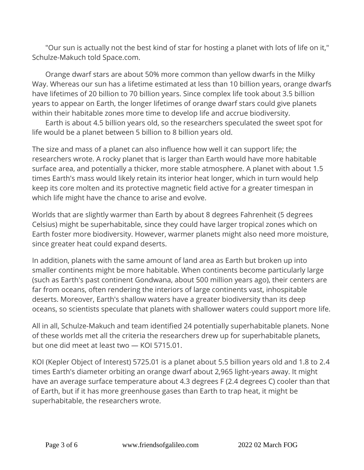"Our sun is actually not the best kind of star for hosting a planet with lots of life on it," Schulze-Makuch told Space.com.

Orange dwarf stars are about 50% more common than yellow dwarfs in the Milky Way. Whereas our sun has a lifetime estimated at less than 10 billion years, orange dwarfs have lifetimes of 20 billion to 70 billion years. Since complex life took about 3.5 billion years to appear on Earth, the longer lifetimes of orange dwarf stars could give planets within their habitable zones more time to develop life and accrue biodiversity.

Earth is about 4.5 billion years old, so the researchers speculated the sweet spot for life would be a planet between 5 billion to 8 billion years old.

The size and mass of a planet can also influence how well it can support life; the researchers wrote. A rocky planet that is larger than Earth would have more habitable surface area, and potentially a thicker, more stable atmosphere. A planet with about 1.5 times Earth's mass would likely retain its interior heat longer, which in turn would help keep its core molten and its protective magnetic field active for a greater timespan in which life might have the chance to arise and evolve.

Worlds that are slightly warmer than Earth by about 8 degrees Fahrenheit (5 degrees Celsius) might be superhabitable, since they could have larger tropical zones which on Earth foster more biodiversity. However, warmer planets might also need more moisture, since greater heat could expand deserts.

In addition, planets with the same amount of land area as Earth but broken up into smaller continents might be more habitable. When continents become particularly large (such as Earth's past continent Gondwana, about 500 million years ago), their centers are far from oceans, often rendering the interiors of large continents vast, inhospitable deserts. Moreover, Earth's shallow waters have a greater biodiversity than its deep oceans, so scientists speculate that planets with shallower waters could support more life.

All in all, Schulze-Makuch and team identified 24 potentially superhabitable planets. None of these worlds met all the criteria the researchers drew up for superhabitable planets, but one did meet at least two — KOI 5715.01.

KOI (Kepler Object of Interest) 5725.01 is a planet about 5.5 billion years old and 1.8 to 2.4 times Earth's diameter orbiting an orange dwarf about 2,965 light-years away. It might have an average surface temperature about 4.3 degrees F (2.4 degrees C) cooler than that of Earth, but if it has more greenhouse gases than Earth to trap heat, it might be superhabitable, the researchers wrote.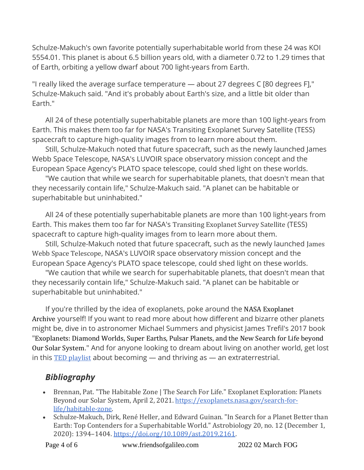Schulze-Makuch's own favorite potentially superhabitable world from these 24 was KOI 5554.01. This planet is about 6.5 billion years old, with a diameter 0.72 to 1.29 times that of Earth, orbiting a yellow dwarf about 700 light-years from Earth.

"I really liked the average surface temperature — about 27 degrees C [80 degrees F]," Schulze-Makuch said. "And it's probably about Earth's size, and a little bit older than Earth."

All 24 of these potentially superhabitable planets are more than 100 light-years from Earth. This makes them too far for NASA's Transiting Exoplanet Survey Satellite (TESS) spacecraft to capture high-quality images from to learn more about them.

Still, Schulze-Makuch noted that future spacecraft, such as the newly launched James Webb Space Telescope, NASA's LUVOIR space observatory mission concept and the European Space Agency's PLATO space telescope, could shed light on these worlds.

"We caution that while we search for superhabitable planets, that doesn't mean that they necessarily contain life," Schulze-Makuch said. "A planet can be habitable or superhabitable but uninhabited."

All 24 of these potentially superhabitable planets are more than 100 light-years from Earth. This makes them too far for NASA's Transiting Exoplanet Survey Satellite (TESS) spacecraft to capture high-quality images from to learn more about them.

Still, Schulze-Makuch noted that future spacecraft, such as the newly launched James Webb Space Telescope, NASA's LUVOIR space observatory mission concept and the European Space Agency's PLATO space telescope, could shed light on these worlds.

"We caution that while we search for superhabitable planets, that doesn't mean that they necessarily contain life," Schulze-Makuch said. "A planet can be habitable or superhabitable but uninhabited."

If you're thrilled by the idea of exoplanets, poke around the NASA Exoplanet Archive yourself! If you want to read more about how different and bizarre other planets might be, dive in to astronomer Michael Summers and physicist James Trefil's 2017 book "Exoplanets: Diamond Worlds, Super Earths, Pulsar Planets, and the New Search for Life beyond Our Solar System." And for anyone looking to dream about living on another world, get lost in this  $TED$  [playlist](https://www.ted.com/playlists/628/what_would_it_be_like_to_live_on_another_planet) about becoming  $-$  and thriving as  $-$  an extraterrestrial.

## *Bibliography*

- Brennan, Pat. "The Habitable Zone | The Search For Life." Exoplanet Exploration: Planets Beyond our Solar System, April 2, 2021. [https://exoplanets.nasa.gov/search-for](https://exoplanets.nasa.gov/search-for-life/habitable-zone)[life/habitable-zone.](https://exoplanets.nasa.gov/search-for-life/habitable-zone)
- Schulze-Makuch, Dirk, René Heller, and Edward Guinan. "In Search for a Planet Better than Earth: Top Contenders for a Superhabitable World." Astrobiology 20, no. 12 (December 1, 2020): 1394–1404. [https://doi.org/10.1089/ast.2019.2161.](https://doi.org/10.1089/ast.2019.2161)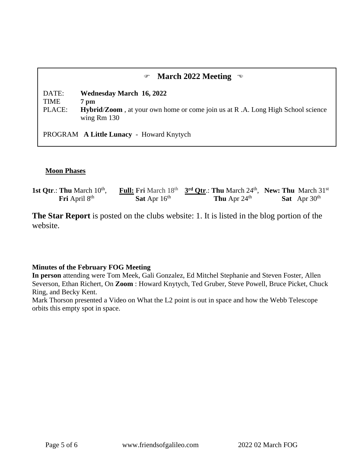## **March 2022 Meeting**

DATE: **Wednesday March 16, 2022** TIME **7 pm** PLACE: **Hybrid**/**Zoom** , at your own home or come join us at R .A. Long High School science wing Rm 130

PROGRAM **A Little Lunacy** - Howard Knytych

#### **Moon Phases**

| 1st Qtr.: Thu March $10^{th}$ , |                                 | <b>Full:</b> Fri March $18^{th}$ 3 <sup>rd</sup> Qtr.: Thu March $24^{th}$ , New: Thu March $31^{st}$ |                       |
|---------------------------------|---------------------------------|-------------------------------------------------------------------------------------------------------|-----------------------|
| <b>Fri</b> April $8th$          | <b>Sat</b> Apr $16^{\text{th}}$ | <b>Thu</b> Apr $24^{\text{th}}$                                                                       | <b>Sat</b> Apr $30th$ |

**The Star Report** is posted on the clubs website: 1. It is listed in the blog portion of the website.

#### **Minutes of the February FOG Meeting**

**In person** attending were Tom Meek, Gali Gonzalez, Ed Mitchel Stephanie and Steven Foster, Allen Severson, Ethan Richert, On **Zoom** : Howard Knytych, Ted Gruber, Steve Powell, Bruce Picket, Chuck Ring, and Becky Kent.

Mark Thorson presented a Video on What the L2 point is out in space and how the Webb Telescope orbits this empty spot in space.